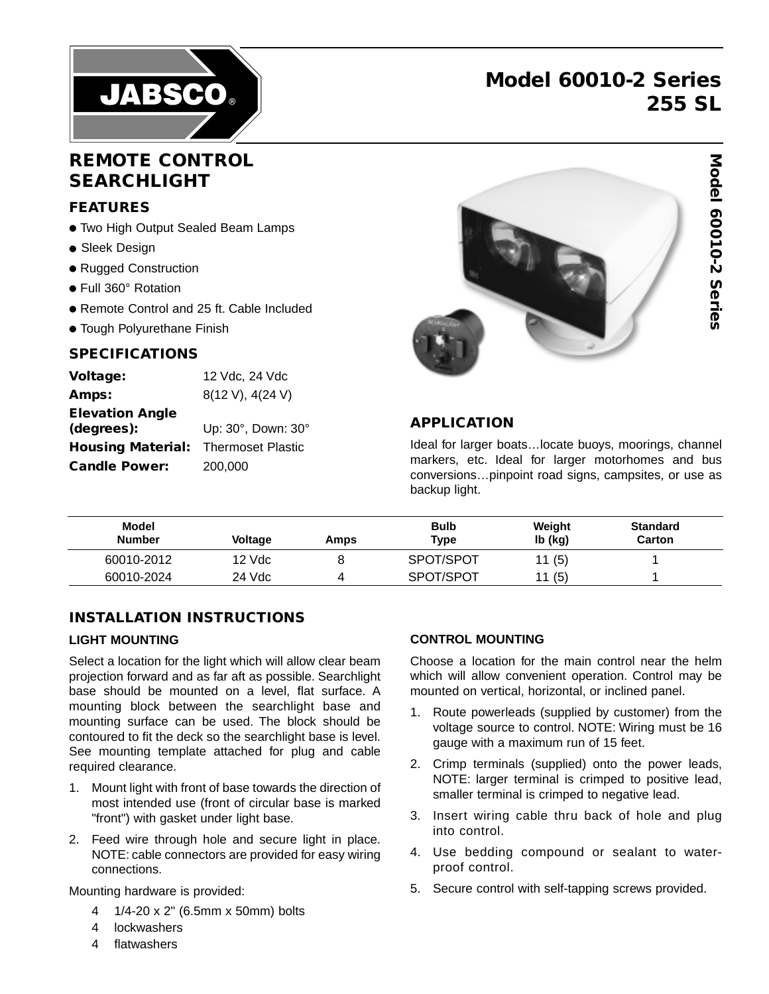

# **Model 60010-2 Series 255 SL**

**Model 60010-2 Series**

Model 60010-2 Series

# **REMOTE CONTROL SEARCHLIGHT**

## **FEATURES**

- Two High Output Sealed Beam Lamps
- Sleek Design
- Rugged Construction
- Full 360° Rotation
- Remote Control and 25 ft. Cable Included
- Tough Polyurethane Finish

#### **SPECIFICATIONS**

| Voltage:                 | 12 Vdc, 24 Vdc           |
|--------------------------|--------------------------|
| Amps:                    | 8(12 V), 4(24 V)         |
| <b>Elevation Angle</b>   |                          |
| (degrees):               | Up: 30°, Down: 30°       |
| <b>Housing Material:</b> | <b>Thermoset Plastic</b> |
| <b>Candle Power:</b>     | 200,000                  |



#### **APPLICATION**

Ideal for larger boats…locate buoys, moorings, channel markers, etc. Ideal for larger motorhomes and bus conversions…pinpoint road signs, campsites, or use as backup light.

| Model<br><b>Number</b> | <b>Voltage</b> | Amps | <b>Bulb</b><br>Type | Weight<br>lb (kg) | <b>Standard</b><br>Carton |
|------------------------|----------------|------|---------------------|-------------------|---------------------------|
| 60010-2012             | 12 Vdc         |      | SPOT/SPOT           | 11(5)             |                           |
| 60010-2024             | 24 Vdc         |      | SPOT/SPOT           | 11 (5)            |                           |

## **INSTALLATION INSTRUCTIONS**

#### **LIGHT MOUNTING**

Select a location for the light which will allow clear beam projection forward and as far aft as possible. Searchlight base should be mounted on a level, flat surface. A mounting block between the searchlight base and mounting surface can be used. The block should be contoured to fit the deck so the searchlight base is level. See mounting template attached for plug and cable required clearance.

- 1. Mount light with front of base towards the direction of most intended use (front of circular base is marked "front") with gasket under light base.
- 2. Feed wire through hole and secure light in place. NOTE: cable connectors are provided for easy wiring connections.

Mounting hardware is provided:

- 4 1/4-20 x 2" (6.5mm x 50mm) bolts
- 4 lockwashers
- 4 flatwashers

#### **CONTROL MOUNTING**

Choose a location for the main control near the helm which will allow convenient operation. Control may be mounted on vertical, horizontal, or inclined panel.

- 1. Route powerleads (supplied by customer) from the voltage source to control. NOTE: Wiring must be 16 gauge with a maximum run of 15 feet.
- 2. Crimp terminals (supplied) onto the power leads, NOTE: larger terminal is crimped to positive lead, smaller terminal is crimped to negative lead.
- 3. Insert wiring cable thru back of hole and plug into control.
- 4. Use bedding compound or sealant to waterproof control.
- 5. Secure control with self-tapping screws provided.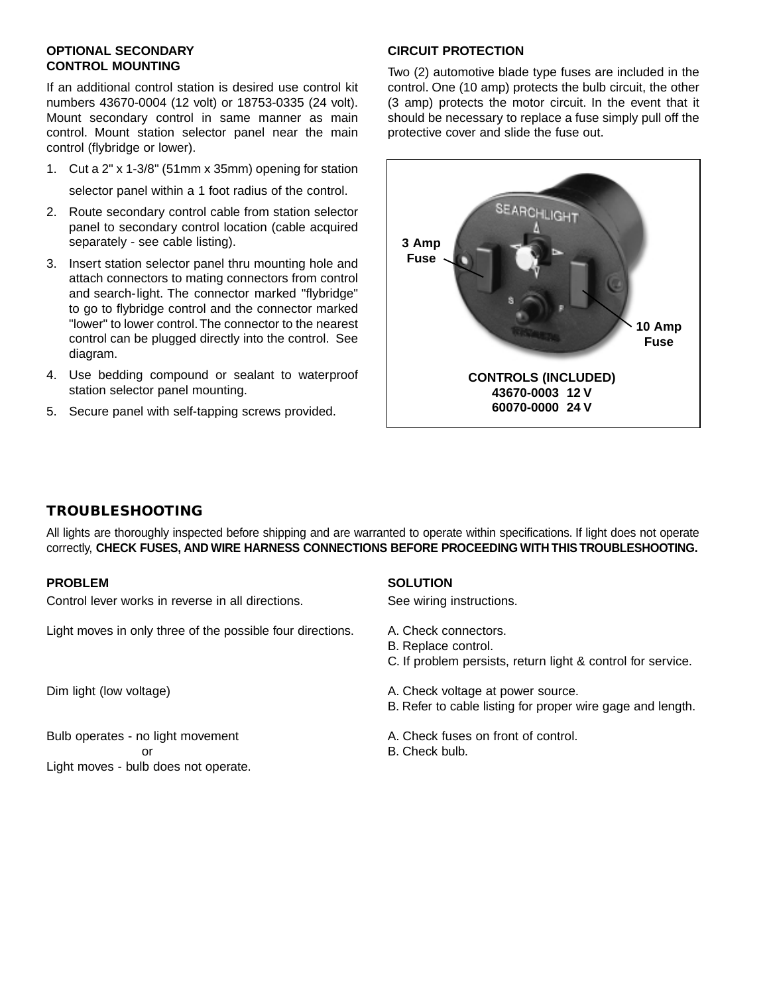#### **OPTIONAL SECONDARY CONTROL MOUNTING**

If an additional control station is desired use control kit numbers 43670-0004 (12 volt) or 18753-0335 (24 volt). Mount secondary control in same manner as main control. Mount station selector panel near the main control (flybridge or lower).

- 1. Cut a 2" x 1-3/8" (51mm x 35mm) opening for station selector panel within a 1 foot radius of the control.
- 2. Route secondary control cable from station selector panel to secondary control location (cable acquired separately - see cable listing).
- 3. Insert station selector panel thru mounting hole and attach connectors to mating connectors from control and search-light. The connector marked "flybridge" to go to flybridge control and the connector marked "lower" to lower control.The connector to the nearest control can be plugged directly into the control. See diagram.
- 4. Use bedding compound or sealant to waterproof station selector panel mounting.
- 5. Secure panel with self-tapping screws provided.

## **CIRCUIT PROTECTION**

Two (2) automotive blade type fuses are included in the control. One (10 amp) protects the bulb circuit, the other (3 amp) protects the motor circuit. In the event that it should be necessary to replace a fuse simply pull off the protective cover and slide the fuse out.



## **TROUBLESHOOTING**

All lights are thoroughly inspected before shipping and are warranted to operate within specifications. If light does not operate correctly, **CHECK FUSES, AND WIRE HARNESS CONNECTIONS BEFORE PROCEEDING WITH THIS TROUBLESHOOTING.**

## **PROBLEM**

Control lever works in reverse in all directions.

Light moves in only three of the possible four directions.

Dim light (low voltage)

Bulb operates - no light movement or Light moves - bulb does not operate.

## **SOLUTION**

See wiring instructions.

- A. Check connectors.
- B. Replace control.
- C. If problem persists, return light & control for service.
- A. Check voltage at power source.
- B. Refer to cable listing for proper wire gage and length.
- A. Check fuses on front of control.
- B. Check bulb.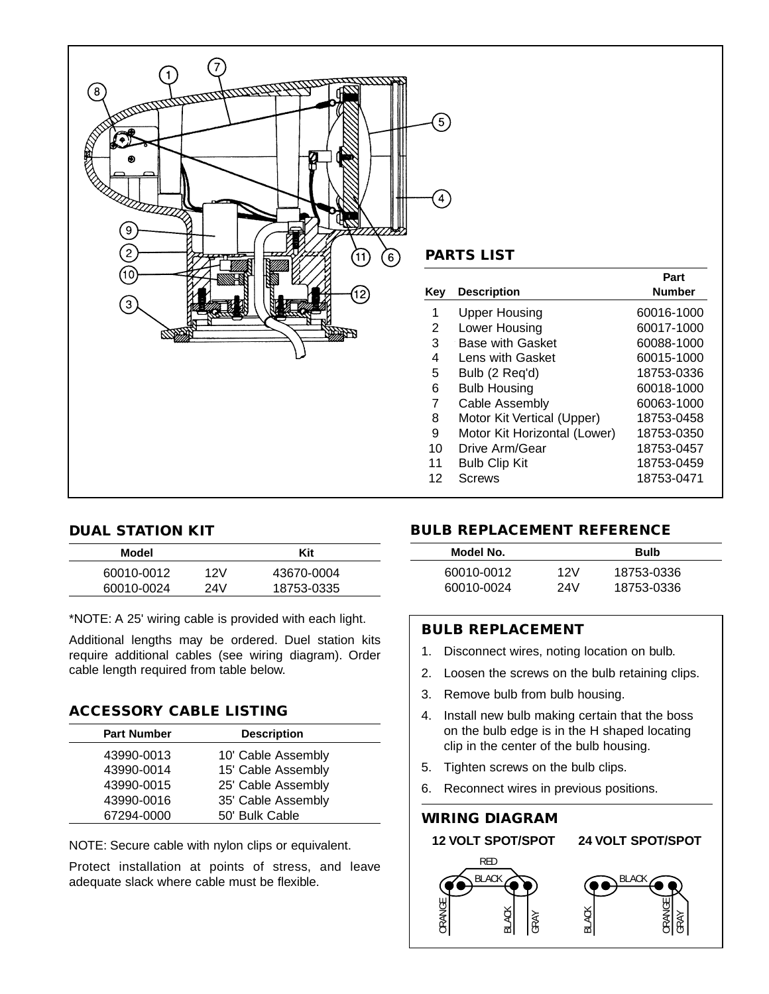

## **DUAL STATION KIT**

| Model      |     | Kit        |  |
|------------|-----|------------|--|
| 60010-0012 | 12V | 43670-0004 |  |
| 60010-0024 | 24V | 18753-0335 |  |

\*NOTE: A 25' wiring cable is provided with each light.

Additional lengths may be ordered. Duel station kits require additional cables (see wiring diagram). Order cable length required from table below.

#### **ACCESSORY CABLE LISTING**

| <b>Part Number</b> | <b>Description</b> |
|--------------------|--------------------|
| 43990-0013         | 10' Cable Assembly |
| 43990-0014         | 15' Cable Assembly |
| 43990-0015         | 25' Cable Assembly |
| 43990-0016         | 35' Cable Assembly |
| 67294-0000         | 50' Bulk Cable     |

NOTE: Secure cable with nylon clips or equivalent.

Protect installation at points of stress, and leave adequate slack where cable must be flexible.

|     |                              | Part          |
|-----|------------------------------|---------------|
| Key | <b>Description</b>           | <b>Number</b> |
| 1   | Upper Housing                | 60016-1000    |
| 2   | Lower Housing                | 60017-1000    |
| 3   | <b>Base with Gasket</b>      | 60088-1000    |
| 4   | Lens with Gasket             | 60015-1000    |
| 5   | Bulb (2 Req'd)               | 18753-0336    |
| 6   | <b>Bulb Housing</b>          | 60018-1000    |
| 7   | Cable Assembly               | 60063-1000    |
| 8   | Motor Kit Vertical (Upper)   | 18753-0458    |
| 9   | Motor Kit Horizontal (Lower) | 18753-0350    |
| 10  | Drive Arm/Gear               | 18753-0457    |
| 11  | <b>Bulb Clip Kit</b>         | 18753-0459    |
| 12  | Screws                       | 18753-0471    |

## **BULB REPLACEMENT REFERENCE**

| Model No.  |     | <b>Bulb</b> |  |
|------------|-----|-------------|--|
| 60010-0012 | 12V | 18753-0336  |  |
| 60010-0024 | 24V | 18753-0336  |  |

## **BULB REPLACEMENT**

- 1. Disconnect wires, noting location on bulb.
- 2. Loosen the screws on the bulb retaining clips.
- 3. Remove bulb from bulb housing.
- 4. Install new bulb making certain that the boss on the bulb edge is in the H shaped locating clip in the center of the bulb housing.
- 5. Tighten screws on the bulb clips.
- 6. Reconnect wires in previous positions.

**WIRING DIAGRAM** RED BLACK ORANGE BLACK **GRAY** BLACK  $\Xi$ ORANGE GRAY **12 VOLT SPOT/SPOT 24 VOLT SPOT/SPOT**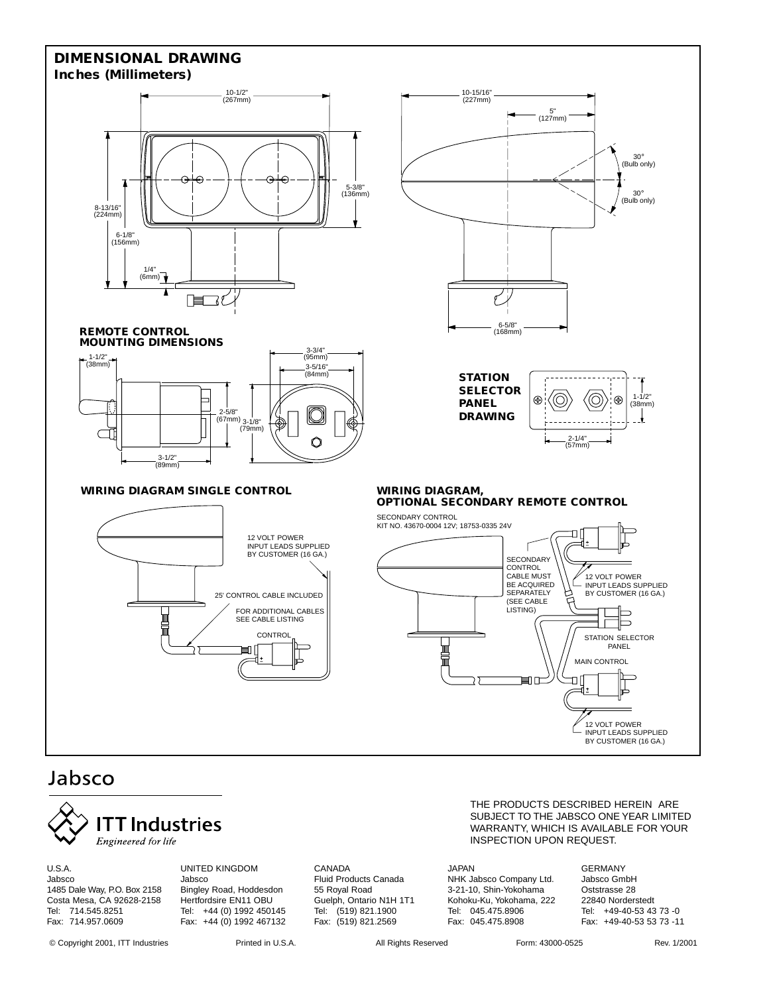#### **DIMENSIONAL DRAWING Inches (Millimeters)**



#### **REMOTE CONTROL MOUNTING DIMENSIONS**



#### **WIRING DIAGRAM SINGLE CONTROL**





# Jabsco



U.S.A. Jabsco 1485 Dale Way, P.O. Box 2158 Costa Mesa, CA 92628-2158 Tel: 714.545.8251 Fax: 714.957.0609

UNITED KINGDOM Jabsco Bingley Road, Hoddesdon Hertfordsire EN11 OBU Tel: +44 (0) 1992 450145 Fax: +44 (0) 1992 467132

CANADA Fluid Products Canada 55 Royal Road Guelph, Ontario N1H 1T1 Tel: (519) 821.1900 Fax: (519) 821.2569

#### THE PRODUCTS DESCRIBED HEREIN ARE SUBJECT TO THE JABSCO ONE YEAR LIMITED WARRANTY, WHICH IS AVAILABLE FOR YOUR INSPECTION UPON REQUEST.

JAPAN NHK Jabsco Company Ltd. 3-21-10, Shin-Yokohama Kohoku-Ku, Yokohama, 222 Tel: 045.475.8906 Fax: 045.475.8908

GERMANY Jabsco GmbH Oststrasse 28 22840 Norderstedt Tel: +49-40-53 43 73 -0 Fax: +49-40-53 53 73 -11

INPUT LEADS SUPPLIED BY CUSTOMER (16 GA.)